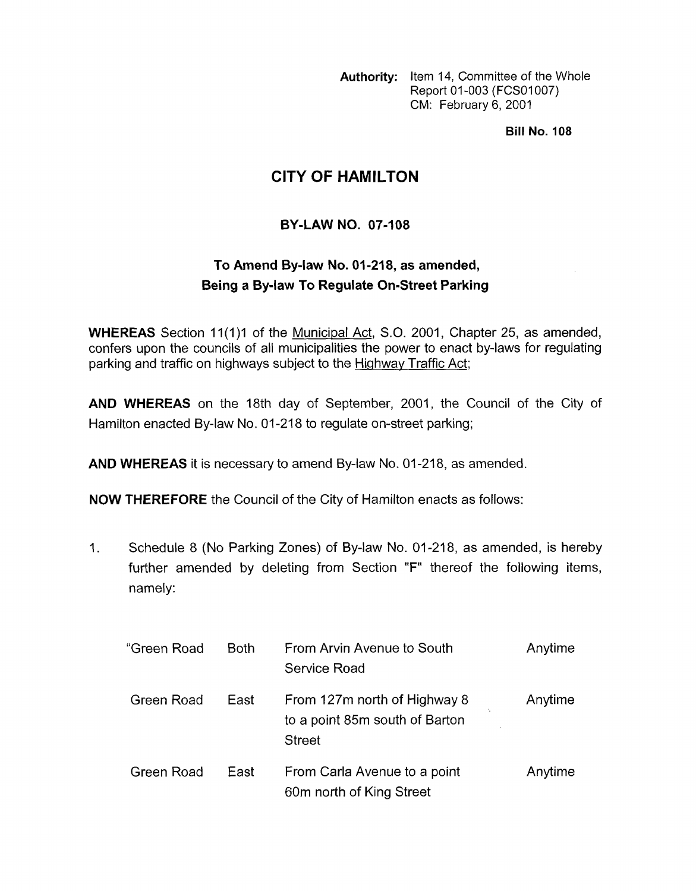**Authority:** Item 14, Committee of the Whole Report 01-003 (FCS01007) CM: February 6, 2001

**Bill No. 108** 

## **CITY OF HAMILTON**

## **BY-LAW NO. 07-108**

## **To Amend By-law No. 01 -21 8, as amended, Being a By-law To Regulate On-Street Parking**

**WHEREAS** Section 11(1)1 of the Municipal Act, S.O. 2001, Chapter 25, as amended, confers upon the councils of all municipalities the power to enact by-laws for regulating parking and traffic on highways subject to the Highway Traffic Act;

**AND WHEREAS** on the 18th day of September, 2001, the Council of the City of Hamilton enacted By-law No. 01-218 to regulate on-street parking;

AND WHEREAS it is necessary to amend By-law No. 01-218, as amended.

**NOW THEREFORE** the Council of the City of Hamilton enacts as follows:

1. Schedule 8 (No Parking Zones) of By-law No. 01-218, as amended, is hereby further amended by deleting from Section **"F"** thereof the following items, namely:

| "Green Road | <b>Both</b> | From Arvin Avenue to South<br>Service Road                                      | Anytime |
|-------------|-------------|---------------------------------------------------------------------------------|---------|
| Green Road  | East        | From 127m north of Highway 8<br>to a point 85m south of Barton<br><b>Street</b> | Anytime |
| Green Road  | East        | From Carla Avenue to a point<br>60m north of King Street                        | Anytime |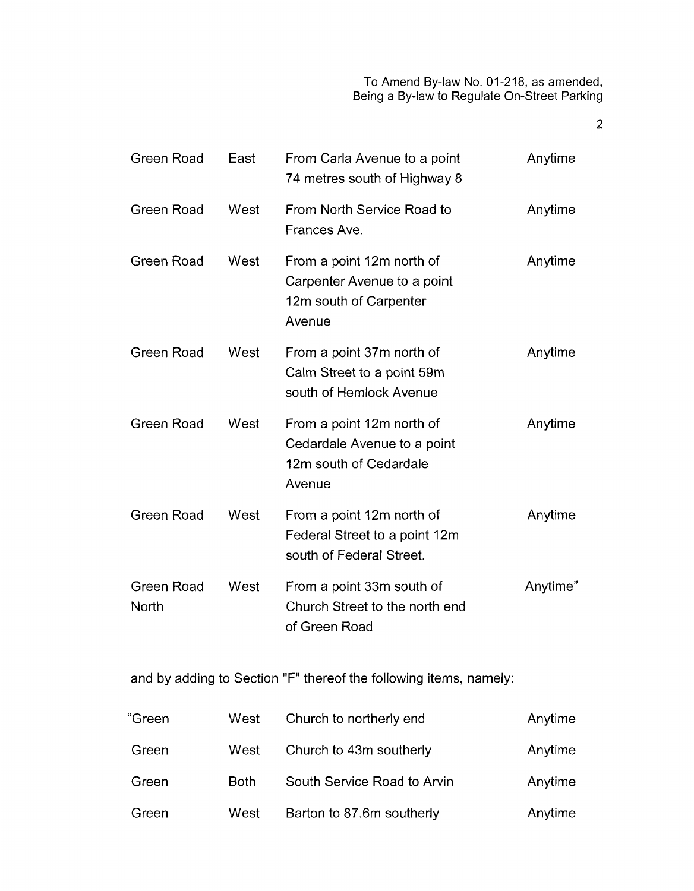To Amend By-law No. 01-218, as amended, Being a By-law to Regulate On-Street Parking

2

| Green Road                 | East | From Carla Avenue to a point<br>74 metres south of Highway 8                                 | Anytime  |
|----------------------------|------|----------------------------------------------------------------------------------------------|----------|
| Green Road                 | West | From North Service Road to<br>Frances Ave.                                                   | Anytime  |
| <b>Green Road</b>          | West | From a point 12m north of<br>Carpenter Avenue to a point<br>12m south of Carpenter<br>Avenue | Anytime  |
| Green Road                 | West | From a point 37m north of<br>Calm Street to a point 59m<br>south of Hemlock Avenue           | Anytime  |
| Green Road                 | West | From a point 12m north of<br>Cedardale Avenue to a point<br>12m south of Cedardale<br>Avenue | Anytime  |
| Green Road                 | West | From a point 12m north of<br>Federal Street to a point 12m<br>south of Federal Street.       | Anytime  |
| <b>Green Road</b><br>North | West | From a point 33m south of<br>Church Street to the north end<br>of Green Road                 | Anytime" |

and by adding to Section "F" thereof the following items, namely:

| "Green | West        | Church to northerly end     | Anytime |
|--------|-------------|-----------------------------|---------|
| Green  | West        | Church to 43m southerly     | Anytime |
| Green  | <b>Both</b> | South Service Road to Arvin | Anytime |
| Green  | West        | Barton to 87.6m southerly   | Anytime |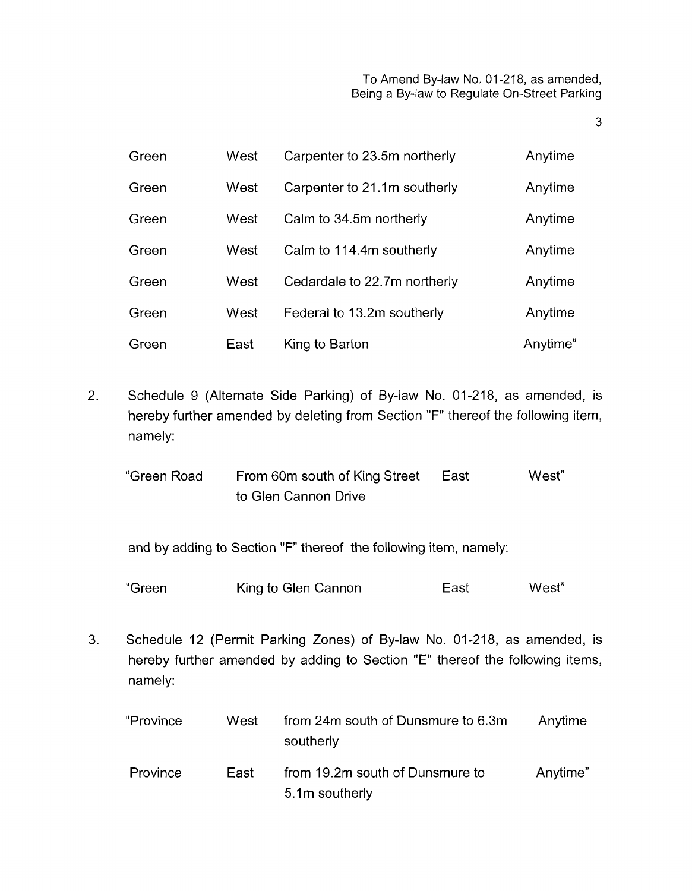**3** 

| Green | West | Carpenter to 23.5m northerly | Anytime  |
|-------|------|------------------------------|----------|
| Green | West | Carpenter to 21.1m southerly | Anytime  |
| Green | West | Calm to 34.5m northerly      | Anytime  |
| Green | West | Calm to 114.4m southerly     | Anytime  |
| Green | West | Cedardale to 22.7m northerly | Anytime  |
| Green | West | Federal to 13.2m southerly   | Anytime  |
| Green | East | King to Barton               | Anytime" |

- 2. Schedule 9 (Alternate Side Parking) of By-law No. 01-218, as amended, is hereby further amended by deleting from Section "F" thereof the following item, namely:
	- "Green Road From 60m south of King Street East West" to Glen Cannon Drive

and by adding to Section "F" thereof the following item, namely:

"Green King to Glen Cannon East West"

**3.** Schedule 12 (Permit Parking Zones) of By-law No. 01-218, as amended, is hereby further amended by adding to Section "E" thereof the following items, namely:

| "Province | West | from 24m south of Dunsmure to 6.3m<br>southerly   | Anytime  |
|-----------|------|---------------------------------------------------|----------|
| Province  | East | from 19.2m south of Dunsmure to<br>5.1m southerly | Anytime" |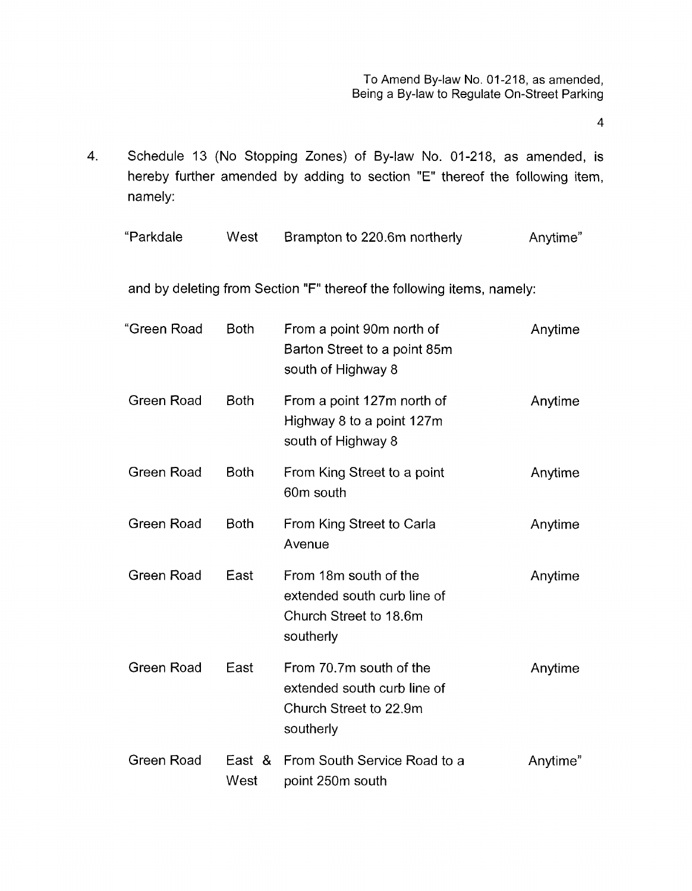**4** 

4. Schedule 13 (No Stopping Zones) of By-law No. 01-218, as amended, is hereby further amended by adding to section "E" thereof the following item, namely:

| "Parkdale | West | Brampton to 220.6m northerly | Anytime" |
|-----------|------|------------------------------|----------|
|-----------|------|------------------------------|----------|

and by deleting from Section "F" thereof the following items, namely:

| "Green Road       | <b>Both</b>    | From a point 90m north of<br>Barton Street to a point 85m<br>south of Highway 8               | Anytime  |
|-------------------|----------------|-----------------------------------------------------------------------------------------------|----------|
| Green Road        | <b>Both</b>    | From a point 127m north of<br>Highway 8 to a point 127m<br>south of Highway 8                 | Anytime  |
| Green Road        | <b>Both</b>    | From King Street to a point<br>60m south                                                      | Anytime  |
| <b>Green Road</b> | <b>Both</b>    | From King Street to Carla<br>Avenue                                                           | Anytime  |
| Green Road        | East           | From 18m south of the<br>extended south curb line of<br>Church Street to 18.6m<br>southerly   | Anytime  |
| Green Road        | East           | From 70.7m south of the<br>extended south curb line of<br>Church Street to 22.9m<br>southerly | Anytime  |
| Green Road        | East &<br>West | From South Service Road to a<br>point 250m south                                              | Anytime" |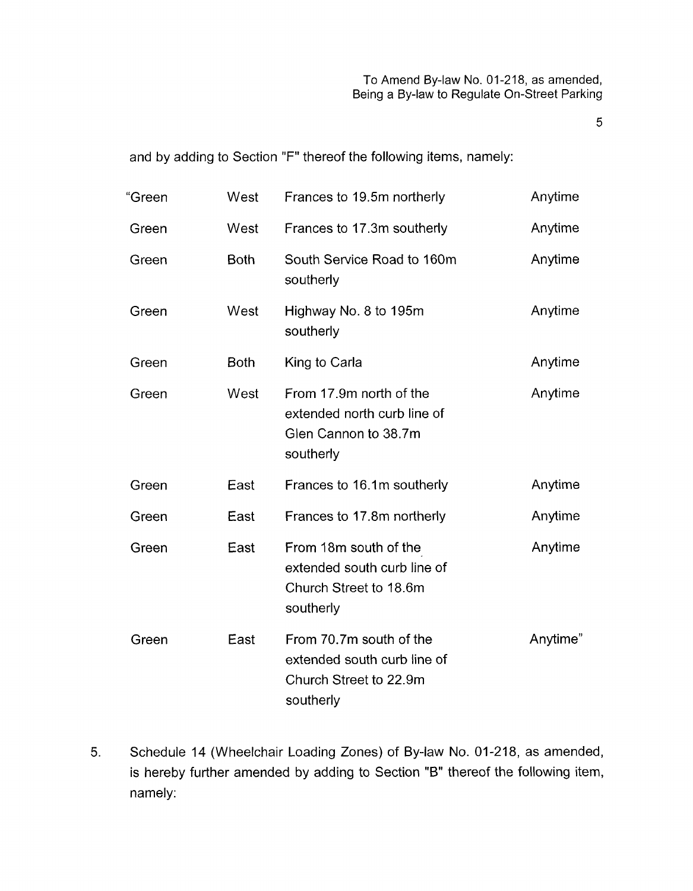5

and by adding to Section "F" thereof the following items, namely:

| "Green | West        | Frances to 19.5m northerly                                                                    | Anytime  |
|--------|-------------|-----------------------------------------------------------------------------------------------|----------|
| Green  | West        | Frances to 17.3m southerly                                                                    | Anytime  |
| Green  | <b>Both</b> | South Service Road to 160m<br>southerly                                                       | Anytime  |
| Green  | West        | Highway No. 8 to 195m<br>southerly                                                            | Anytime  |
| Green  | <b>Both</b> | King to Carla                                                                                 | Anytime  |
| Green  | West        | From 17.9m north of the<br>extended north curb line of<br>Glen Cannon to 38.7m<br>southerly   | Anytime  |
| Green  | East        | Frances to 16.1m southerly                                                                    | Anytime  |
| Green  | East        | Frances to 17.8m northerly                                                                    | Anytime  |
| Green  | East        | From 18m south of the<br>extended south curb line of<br>Church Street to 18.6m<br>southerly   | Anytime  |
| Green  | East        | From 70.7m south of the<br>extended south curb line of<br>Church Street to 22.9m<br>southerly | Anytime" |

5. Schedule 14 (Wheelchair Loading Zones) of By-law No. 01-218, as amended, is hereby further amended by adding to Section "B" thereof the following item, namely: